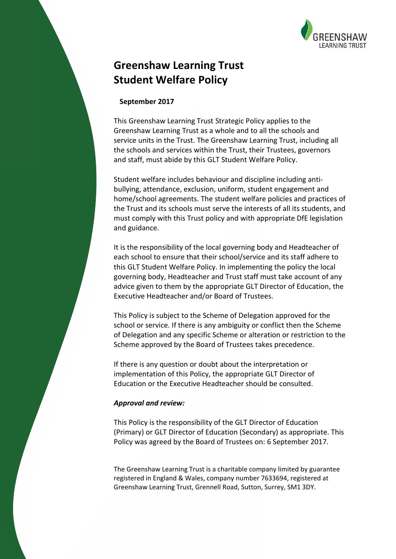

# **Greenshaw Learning Trust Student Welfare Policy**

### **September 2017**

This Greenshaw Learning Trust Strategic Policy applies to the Greenshaw Learning Trust as a whole and to all the schools and service units in the Trust. The Greenshaw Learning Trust, including all the schools and services within the Trust, their Trustees, governors and staff, must abide by this GLT Student Welfare Policy.

Student welfare includes behaviour and discipline including antibullying, attendance, exclusion, uniform, student engagement and home/school agreements. The student welfare policies and practices of the Trust and its schools must serve the interests of all its students, and must comply with this Trust policy and with appropriate DfE legislation and guidance.

It is the responsibility of the local governing body and Headteacher of each school to ensure that their school/service and its staff adhere to this GLT Student Welfare Policy. In implementing the policy the local governing body, Headteacher and Trust staff must take account of any advice given to them by the appropriate GLT Director of Education, the Executive Headteacher and/or Board of Trustees.

This Policy is subject to the Scheme of Delegation approved for the school or service. If there is any ambiguity or conflict then the Scheme of Delegation and any specific Scheme or alteration or restriction to the Scheme approved by the Board of Trustees takes precedence.

If there is any question or doubt about the interpretation or implementation of this Policy, the appropriate GLT Director of Education or the Executive Headteacher should be consulted.

#### *Approval and review:*

This Policy is the responsibility of the GLT Director of Education (Primary) or GLT Director of Education (Secondary) as appropriate. This Policy was agreed by the Board of Trustees on: 6 September 2017*.*

The Greenshaw Learning Trust is a charitable company limited by guarantee registered in England & Wales, company number 7633694, registered at Greenshaw Learning Trust, Grennell Road, Sutton, Surrey, SM1 3DY.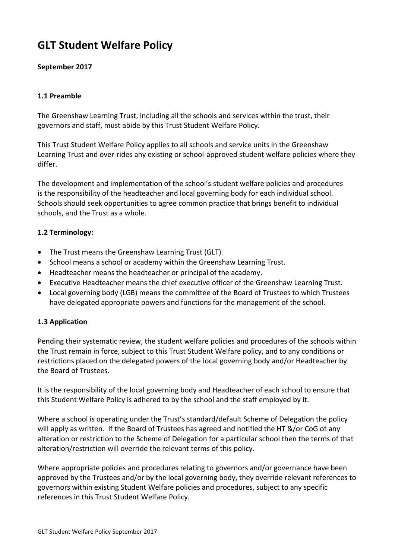# **GLT Student Welfare Policy**

# **September 2017**

# **1.1 Preamble**

The Greenshaw Learning Trust, including all the schools and services within the trust, their governors and staff, must abide by this Trust Student Welfare Policy.

This Trust Student Welfare Policy applies to all schools and service units in the Greenshaw Learning Trust and over-rides any existing or school-approved student welfare policies where they differ.

The development and implementation of the school's student welfare policies and procedures is the responsibility of the headteacher and local governing body for each individual school. Schools should seek opportunities to agree common practice that brings benefit to individual schools, and the Trust as a whole.

# **1.2 Terminology:**

- The Trust means the Greenshaw Learning Trust (GLT).
- School means a school or academy within the Greenshaw Learning Trust.
- Headteacher means the headteacher or principal of the academy.
- Executive Headteacher means the chief executive officer of the Greenshaw Learning Trust.
- Local governing body (LGB) means the committee of the Board of Trustees to which Trustees have delegated appropriate powers and functions for the management of the school.

# **1.3 Application**

Pending their systematic review, the student welfare policies and procedures of the schools within the Trust remain in force, subject to this Trust Student Welfare policy, and to any conditions or restrictions placed on the delegated powers of the local governing body and/or Headteacher by the Board of Trustees.

It is the responsibility of the local governing body and Headteacher of each school to ensure that this Student Welfare Policy is adhered to by the school and the staff employed by it.

Where a school is operating under the Trust's standard/default Scheme of Delegation the policy will apply as written. If the Board of Trustees has agreed and notified the HT &/or CoG of any alteration or restriction to the Scheme of Delegation for a particular school then the terms of that alteration/restriction will override the relevant terms of this policy.

Where appropriate policies and procedures relating to governors and/or governance have been approved by the Trustees and/or by the local governing body, they override relevant references to governors within existing Student Welfare policies and procedures, subject to any specific references in this Trust Student Welfare Policy.